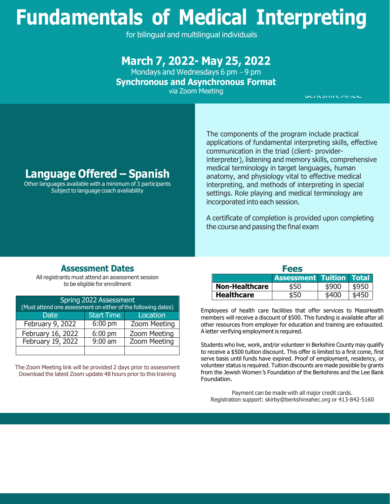# **Fundamentals of Medical Interpreting**

for bilingual and multilingual individuals

## **March 7, 2022- May 25, 2022**

Mondays and Wednesdays 6 pm *–* 9 pm **Synchronous and Asynchronous Format** via Zoom Meeting

**DUINJIIII UMI ILU** 

## **Language Offered – Spanish**

Other languages available with a minimum of 3 participants Subject to language coach availability

The components of the program include practical applications of fundamental interpreting skills, effective communication in the triad (client- providerinterpreter), listening and memory skills, comprehensive medical terminology in target languages, human anatomy, and physiology vital to effective medical interpreting, and methods of interpreting in special settings. Role playing and medical terminology are incorporated into each session.

A certificate of completion is provided upon completing the course and passing the final exam

### **Assessment Dates**

All registrants must attend an assessment session to be eligible for enrollment

| Spring 2022 Assessment<br>(Must attend one assessment on either of the following dates) |                   |                     |  |  |
|-----------------------------------------------------------------------------------------|-------------------|---------------------|--|--|
| Date                                                                                    | <b>Start Time</b> | Location            |  |  |
| February 9, 2022                                                                        | $6:00$ pm         | Zoom Meeting        |  |  |
| February 16, 2022                                                                       | $6:00$ pm         | <b>Zoom Meeting</b> |  |  |
| February 19, 2022                                                                       | $9:00$ am         | <b>Zoom Meeting</b> |  |  |
|                                                                                         |                   |                     |  |  |

The Zoom Meeting link will be provided 2 days prior to assessment Download the latest Zoom update 48 hours prior to this training

| <b>Fees</b>           |                                 |       |       |  |
|-----------------------|---------------------------------|-------|-------|--|
|                       | <b>Assessment Tuition Total</b> |       |       |  |
| <b>Non-Healthcare</b> | \$50                            | ≮9በበ  | \$950 |  |
| <b>Healthcare</b>     |                                 | \$400 |       |  |

Employees of health care facilities that offer services to MassHealth members will receive a discount of \$500. This funding is available after all other resources from employer for education and training are exhausted. A letter verifying employment is required.

Students who live, work, and/or volunteer in Berkshire County may qualify to receive a \$500 tuition discount. This offer is limited to a first come, first serve basis until funds have expired. Proof of employment, residency, or volunteer status is required. Tuition discounts are made possible by grants from the Jewish Women*'*s Foundation of the Berkshires and the Lee Bank Foundation.

Payment can be made with all major credit cards. Registration support: [skirby@berkshireahec.org](mailto:skirby@berkshireahec.org) or 413-842-5160